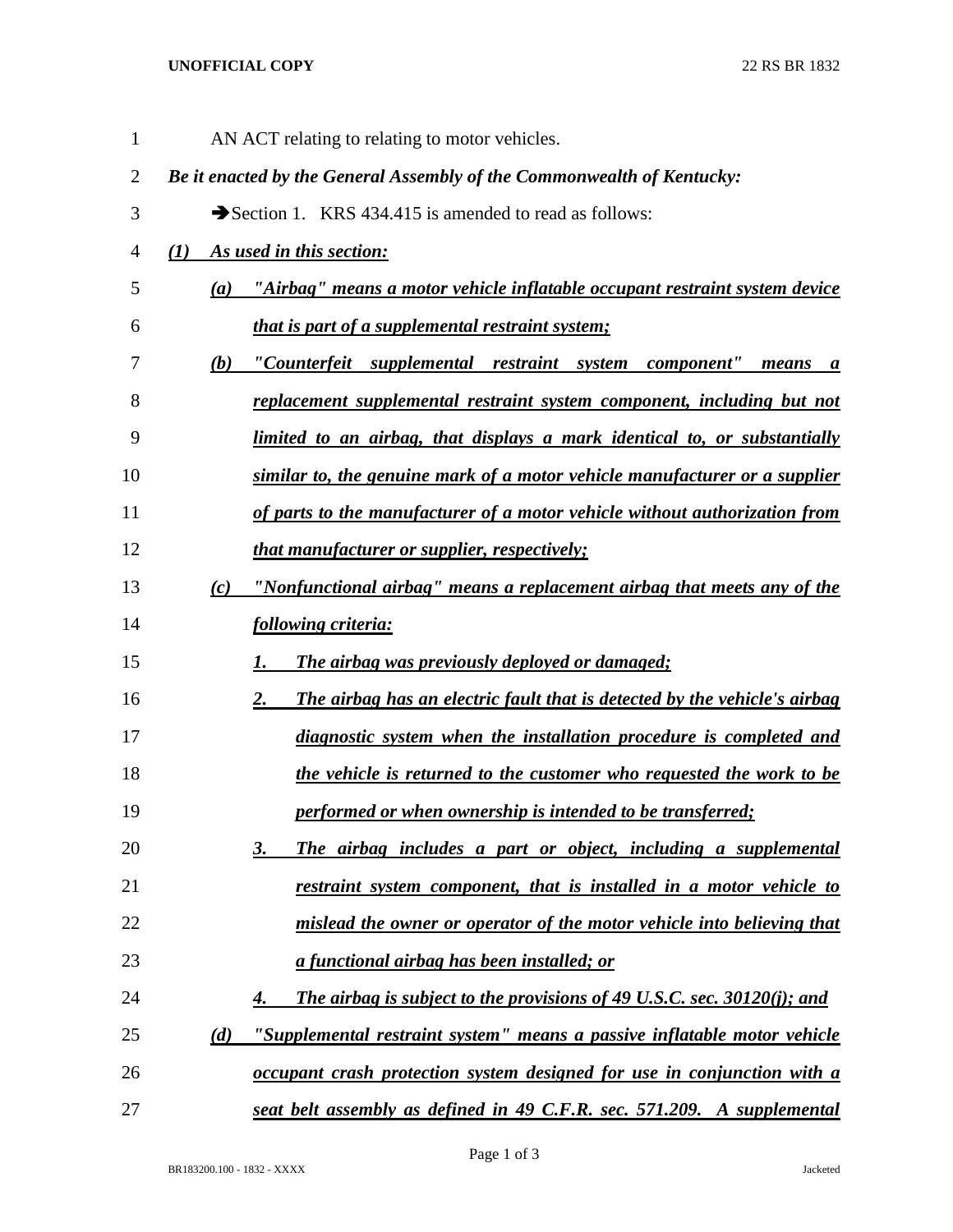## **UNOFFICIAL COPY** 22 RS BR 1832

| $\mathbf{1}$   | AN ACT relating to relating to motor vehicles.                                           |
|----------------|------------------------------------------------------------------------------------------|
| $\overline{2}$ | Be it enacted by the General Assembly of the Commonwealth of Kentucky:                   |
| 3              | Section 1. KRS 434.415 is amended to read as follows:                                    |
| 4              | As used in this section:<br>(I)                                                          |
| 5              | "Airbag" means a motor vehicle inflatable occupant restraint system device<br>(a)        |
| 6              | that is part of a supplemental restraint system;                                         |
| 7              | "Counterfeit supplemental restraint system component" means a<br>(b)                     |
| 8              | replacement supplemental restraint system component, including but not                   |
| 9              | limited to an airbag, that displays a mark identical to, or substantially                |
| 10             | similar to, the genuine mark of a motor vehicle manufacturer or a supplier               |
| 11             | of parts to the manufacturer of a motor vehicle without authorization from               |
| 12             | that manufacturer or supplier, respectively;                                             |
| 13             | "Nonfunctional airbag" means a replacement airbag that meets any of the<br>(c)           |
| 14             | following criteria:                                                                      |
| 15             | The airbag was previously deployed or damaged;<br>1.                                     |
| 16             | The airbag has an electric fault that is detected by the vehicle's airbag<br>$2_{\cdot}$ |
| 17             | diagnostic system when the installation procedure is completed and                       |
| 18             | the vehicle is returned to the customer who requested the work to be                     |
| 19             | performed or when ownership is intended to be transferred;                               |
| 20             | The airbag includes a part or object, including a supplemental<br>3.                     |
| 21             | restraint system component, that is installed in a motor vehicle to                      |
| 22             | mislead the owner or operator of the motor vehicle into believing that                   |
| 23             | <u>a functional airbag has been installed; or</u>                                        |
| 24             | The airbag is subject to the provisions of 49 U.S.C. sec. 30120(i); and<br>4.            |
| 25             | "Supplemental restraint system" means a passive inflatable motor vehicle<br>(d)          |
| 26             | occupant crash protection system designed for use in conjunction with a                  |
| 27             | seat belt assembly as defined in 49 C.F.R. sec. 571.209. A supplemental                  |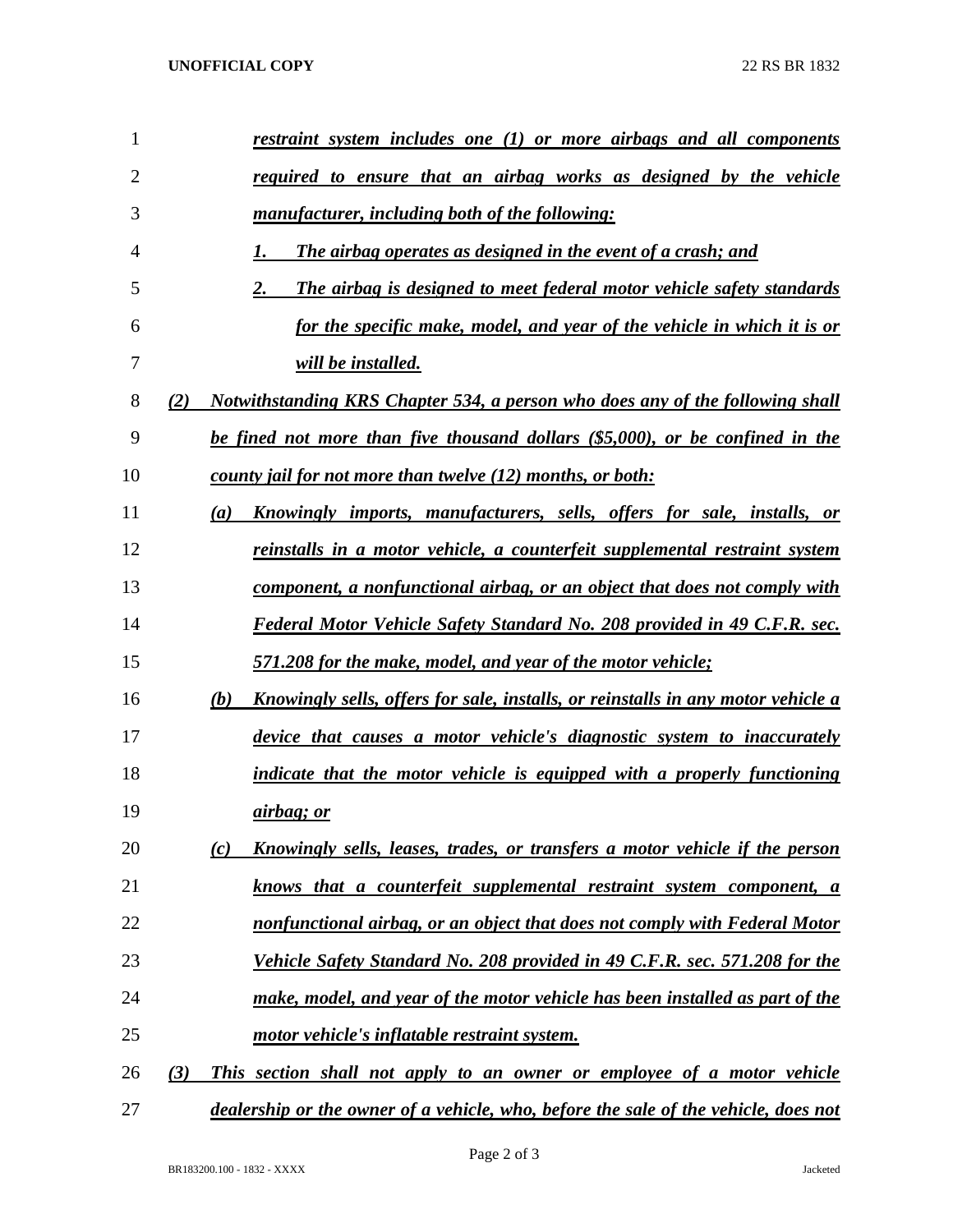| 1              | restraint system includes one (1) or more airbags and all components                           |
|----------------|------------------------------------------------------------------------------------------------|
| $\overline{2}$ | required to ensure that an airbag works as designed by the vehicle                             |
| 3              | manufacturer, including both of the following:                                                 |
| 4              | The airbag operates as designed in the event of a crash; and<br>1.                             |
| 5              | 2.<br>The airbag is designed to meet federal motor vehicle safety standards                    |
| 6              | <u>for the specific make, model, and year of the vehicle in which it is or</u>                 |
| 7              | <i>will be installed.</i>                                                                      |
| 8              | Notwithstanding KRS Chapter 534, a person who does any of the following shall<br>(2)           |
| 9              | be fined not more than five thousand dollars (\$5,000), or be confined in the                  |
| 10             | county jail for not more than twelve (12) months, or both:                                     |
| 11             | Knowingly imports, manufacturers, sells, offers for sale, installs, or<br>(a)                  |
| 12             | reinstalls in a motor vehicle, a counterfeit supplemental restraint system                     |
| 13             | component, a nonfunctional airbag, or an object that does not comply with                      |
| 14             | Federal Motor Vehicle Safety Standard No. 208 provided in 49 C.F.R. sec.                       |
| 15             | <u>571.208 for the make, model, and year of the motor vehicle;</u>                             |
| 16             | (b)<br><u>Knowingly sells, offers for sale, installs, or reinstalls in any motor vehicle a</u> |
| 17             | device that causes a motor vehicle's diagnostic system to inaccurately                         |
| 18             | indicate that the motor vehicle is equipped with a properly functioning                        |
| 19             | <u>airbag; or</u>                                                                              |
| 20             | Knowingly sells, leases, trades, or transfers a motor vehicle if the person<br>(c)             |
| 21             | knows that a counterfeit supplemental restraint system component, a                            |
| 22             | nonfunctional airbag, or an object that does not comply with Federal Motor                     |
| 23             | Vehicle Safety Standard No. 208 provided in 49 C.F.R. sec. 571.208 for the                     |
| 24             | make, model, and year of the motor vehicle has been installed as part of the                   |
| 25             | motor vehicle's inflatable restraint system.                                                   |
| 26             | (3)<br>This section shall not apply to an owner or employee of a motor vehicle                 |
| 27             | dealership or the owner of a vehicle, who, before the sale of the vehicle, does not            |